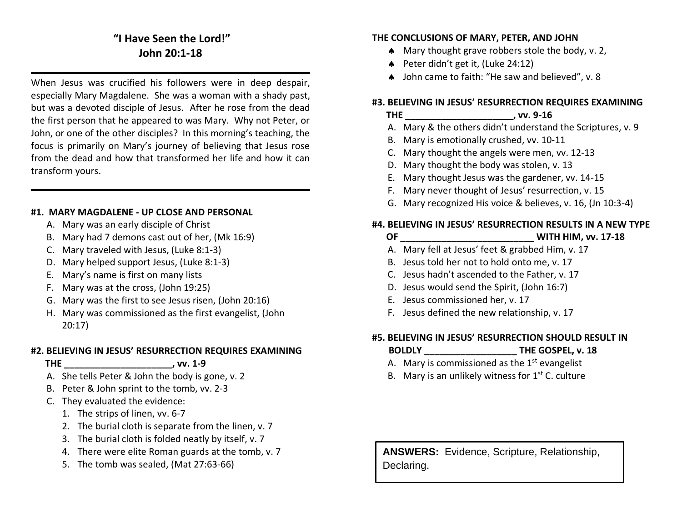## **"I Have Seen the Lord!" John 20:1-18**

When Jesus was crucified his followers were in deep despair, especially Mary Magdalene. She was a woman with a shady past, but was a devoted disciple of Jesus. After he rose from the dead the first person that he appeared to was Mary. Why not Peter, or John, or one of the other disciples? In this morning's teaching, the focus is primarily on Mary's journey of believing that Jesus rose from the dead and how that transformed her life and how it can transform yours.

### **#1. MARY MAGDALENE - UP CLOSE AND PERSONAL**

- A. Mary was an early disciple of Christ
- B. Mary had 7 demons cast out of her, (Mk 16:9)
- C. Mary traveled with Jesus, (Luke 8:1-3)
- D. Mary helped support Jesus, (Luke 8:1-3)
- E. Mary's name is first on many lists
- F. Mary was at the cross, (John 19:25)
- G. Mary was the first to see Jesus risen, (John 20:16)
- H. Mary was commissioned as the first evangelist, (John 20:17)

### **#2. BELIEVING IN JESUS' RESURRECTION REQUIRES EXAMINING**

 **THE \_\_\_\_\_\_\_\_\_\_\_\_\_\_\_\_\_\_\_\_\_, vv. 1-9**

- A. She tells Peter & John the body is gone, v. 2
- B. Peter & John sprint to the tomb, vv. 2-3
- C. They evaluated the evidence:
	- 1. The strips of linen, vv. 6-7
	- 2. The burial cloth is separate from the linen, v. 7
	- 3. The burial cloth is folded neatly by itself, v. 7
	- 4. There were elite Roman guards at the tomb, v. 7
	- 5. The tomb was sealed, (Mat 27:63-66)

### **THE CONCLUSIONS OF MARY, PETER, AND JOHN**

- Mary thought grave robbers stole the body, v. 2,
- Peter didn't get it, (Luke 24:12)
- John came to faith: "He saw and believed", v. 8

### **#3. BELIEVING IN JESUS' RESURRECTION REQUIRES EXAMINING**

### **THE \_\_\_\_\_\_\_\_\_\_\_\_\_\_\_\_\_\_\_\_\_, vv. 9-16**

- A. Mary & the others didn't understand the Scriptures, v. 9
- B. Mary is emotionally crushed, vv. 10-11
- C. Mary thought the angels were men, vv. 12-13
- D. Mary thought the body was stolen, v. 13
- E. Mary thought Jesus was the gardener, vv. 14-15
- F. Mary never thought of Jesus' resurrection, v. 15
- G. Mary recognized His voice & believes, v. 16, (Jn 10:3-4)

### **#4. BELIEVING IN JESUS' RESURRECTION RESULTS IN A NEW TYPE OF \_\_\_\_\_\_\_\_\_\_\_\_\_\_\_\_\_\_\_\_\_\_\_\_\_\_ WITH HIM, vv. 17-18**

- A. Mary fell at Jesus' feet & grabbed Him, v. 17
- B. Jesus told her not to hold onto me, v. 17
- C. Jesus hadn't ascended to the Father, v. 17
- D. Jesus would send the Spirit, (John 16:7)
- E. Jesus commissioned her, v. 17
- F. Jesus defined the new relationship, v. 17

### **#5. BELIEVING IN JESUS' RESURRECTION SHOULD RESULT IN**

- **BOLDLY \_\_\_\_\_\_\_\_\_\_\_\_\_\_\_\_\_\_ THE GOSPEL, v. 18**
- A. Mary is commissioned as the  $1<sup>st</sup>$  evangelist
- B. Mary is an unlikely witness for  $1<sup>st</sup>$  C. culture

**ANSWERS:** Evidence, Scripture, Relationship, Declaring.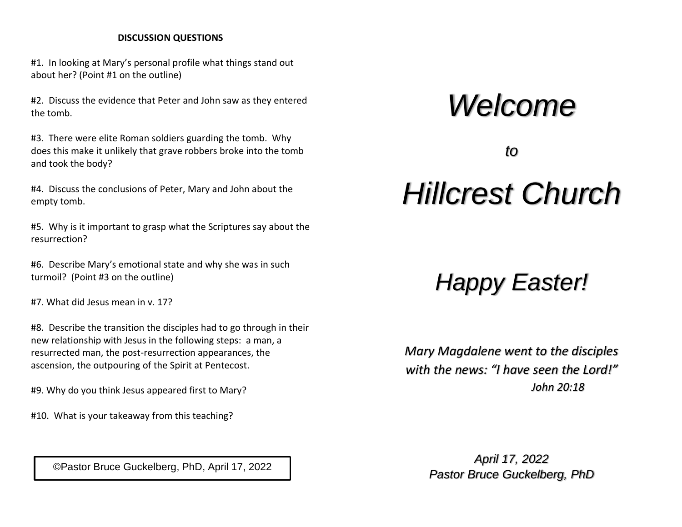### **DISCUSSION QUESTIONS**

#1. In looking at Mary's personal profile what things stand out about her? (Point #1 on the outline)

#2. Discuss the evidence that Peter and John saw as they entered the tomb.

#3. There were elite Roman soldiers guarding the tomb. Why does this make it unlikely that grave robbers broke into the tomb and took the body?

#4. Discuss the conclusions of Peter, Mary and John about the empty tomb.

#5. Why is it important to grasp what the Scriptures say about the resurrection?

#6. Describe Mary's emotional state and why she was in such turmoil? (Point #3 on the outline)

#7. What did Jesus mean in v. 17?

#8. Describe the transition the disciples had to go through in their new relationship with Jesus in the following steps: a man, a resurrected man, the post-resurrection appearances, the ascension, the outpouring of the Spirit at Pentecost.

#9. Why do you think Jesus appeared first to Mary?

#10. What is your takeaway from this teaching?

# *Welcome*

*to*

# *Hillcrest Church*

# *Happy Easter!*

*Mary Magdalene went to the disciples with the news: "I have seen the Lord!" John 20:18*

*April 17, 2022* Pastor Bruce Guckelberg, PhD, April 17, 2022<br>Pastor Bruce Guckelberg, PhD